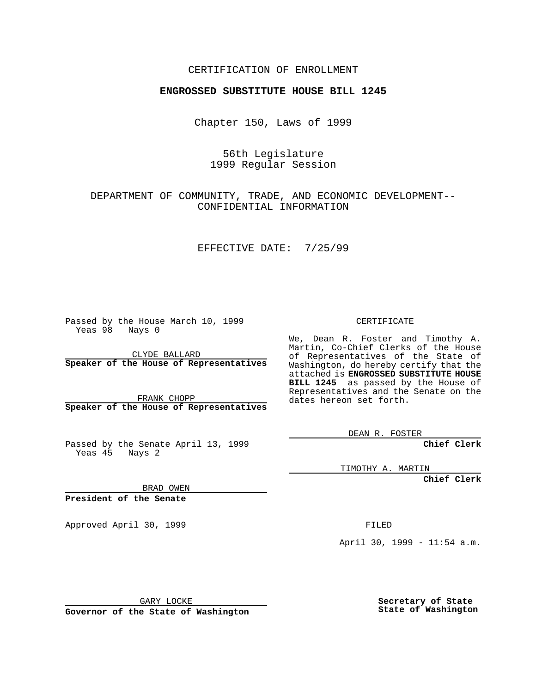## CERTIFICATION OF ENROLLMENT

## **ENGROSSED SUBSTITUTE HOUSE BILL 1245**

Chapter 150, Laws of 1999

56th Legislature 1999 Regular Session

DEPARTMENT OF COMMUNITY, TRADE, AND ECONOMIC DEVELOPMENT-- CONFIDENTIAL INFORMATION

EFFECTIVE DATE: 7/25/99

Passed by the House March 10, 1999 Yeas 98 Nays 0

CLYDE BALLARD **Speaker of the House of Representatives**

FRANK CHOPP **Speaker of the House of Representatives**

Passed by the Senate April 13, 1999 Yeas 45 Nays 2

CERTIFICATE

We, Dean R. Foster and Timothy A. Martin, Co-Chief Clerks of the House of Representatives of the State of Washington, do hereby certify that the attached is **ENGROSSED SUBSTITUTE HOUSE BILL 1245** as passed by the House of Representatives and the Senate on the dates hereon set forth.

DEAN R. FOSTER

**Chief Clerk**

TIMOTHY A. MARTIN

**Chief Clerk**

BRAD OWEN

**President of the Senate**

Approved April 30, 1999 **FILED** 

April 30, 1999 - 11:54 a.m.

GARY LOCKE

**Governor of the State of Washington**

**Secretary of State State of Washington**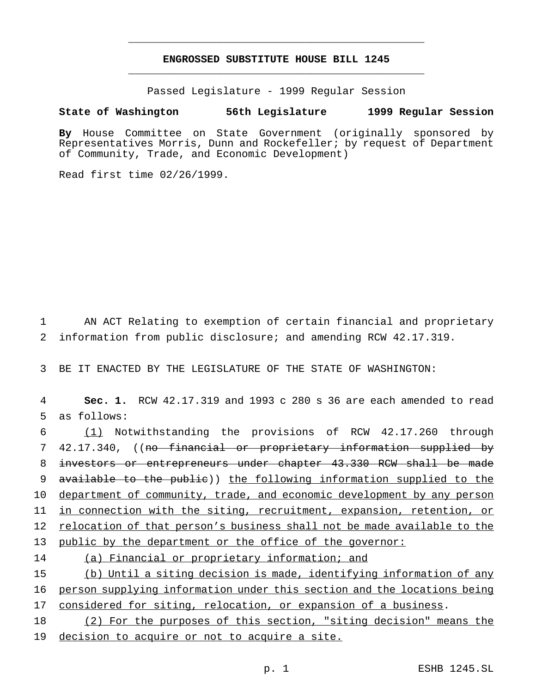## **ENGROSSED SUBSTITUTE HOUSE BILL 1245** \_\_\_\_\_\_\_\_\_\_\_\_\_\_\_\_\_\_\_\_\_\_\_\_\_\_\_\_\_\_\_\_\_\_\_\_\_\_\_\_\_\_\_\_\_\_\_

\_\_\_\_\_\_\_\_\_\_\_\_\_\_\_\_\_\_\_\_\_\_\_\_\_\_\_\_\_\_\_\_\_\_\_\_\_\_\_\_\_\_\_\_\_\_\_

Passed Legislature - 1999 Regular Session

## **State of Washington 56th Legislature 1999 Regular Session**

**By** House Committee on State Government (originally sponsored by Representatives Morris, Dunn and Rockefeller; by request of Department of Community, Trade, and Economic Development)

Read first time 02/26/1999.

1 AN ACT Relating to exemption of certain financial and proprietary 2 information from public disclosure; and amending RCW 42.17.319.

3 BE IT ENACTED BY THE LEGISLATURE OF THE STATE OF WASHINGTON:

4 **Sec. 1.** RCW 42.17.319 and 1993 c 280 s 36 are each amended to read 5 as follows:

 (1) Notwithstanding the provisions of RCW 42.17.260 through 42.17.340, ((no financial or proprietary information supplied by investors or entrepreneurs under chapter 43.330 RCW shall be made available to the public)) the following information supplied to the 10 department of community, trade, and economic development by any person in connection with the siting, recruitment, expansion, retention, or relocation of that person's business shall not be made available to the public by the department or the office of the governor: 14 (a) Financial or proprietary information; and (b) Until a siting decision is made, identifying information of any person supplying information under this section and the locations being

17 considered for siting, relocation, or expansion of a business.

18 (2) For the purposes of this section, "siting decision" means the 19 decision to acquire or not to acquire a site.